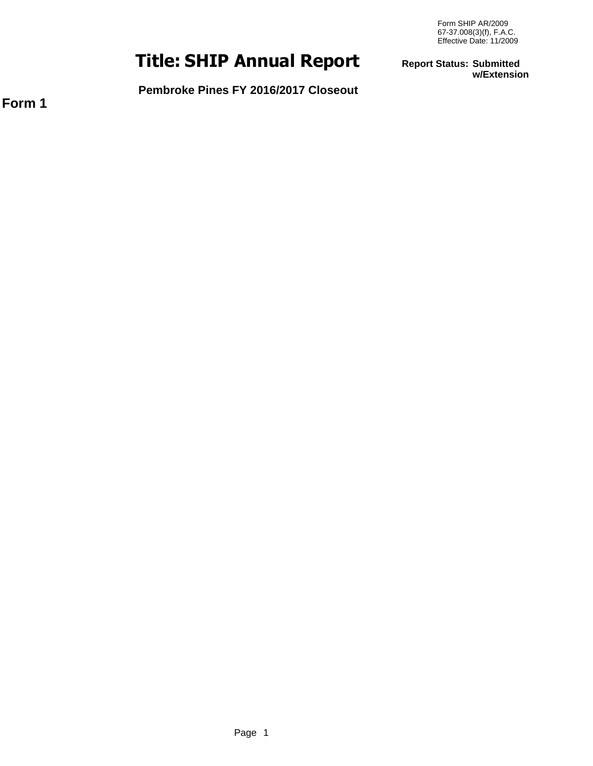# **SHIP Annual Report Title:**

**Report Status: Submitted w/Extension**

**Pembroke Pines FY 2016/2017 Closeout**

**Form 1**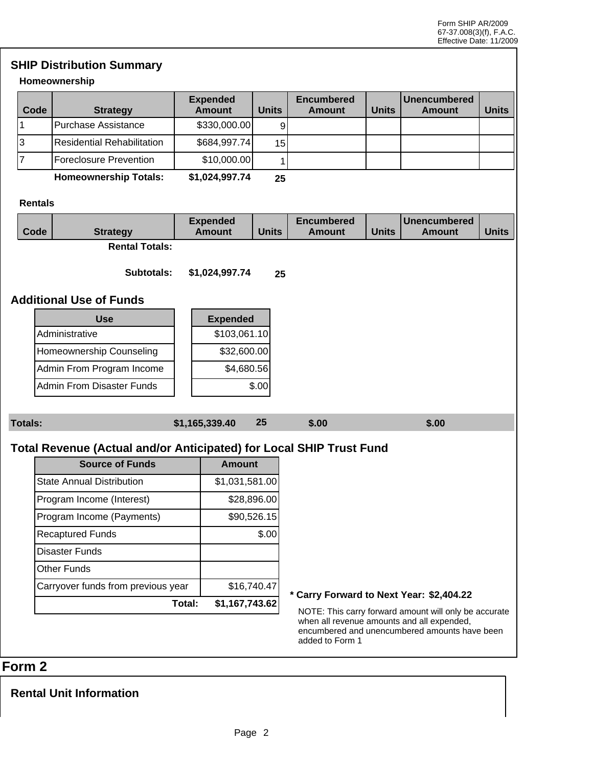# **SHIP Distribution Summary**

#### **Homeownership**

| Code | <b>Strategy</b>                 | <b>Expended</b><br><b>Amount</b> | Units           | <b>Encumbered</b><br>Amount | <b>Units</b> | l Unencumbered<br>Amount | <b>Units</b> |
|------|---------------------------------|----------------------------------|-----------------|-----------------------------|--------------|--------------------------|--------------|
|      | <b>Purchase Assistance</b>      | \$330,000.00]                    |                 |                             |              |                          |              |
| Ι3   | IResidential Rehabilitation     | \$684,997.74                     | 15 <sup>1</sup> |                             |              |                          |              |
|      | Foreclosure Prevention          | \$10,000.00]                     |                 |                             |              |                          |              |
|      | l la seca consecuele la Fatalan | $A$ $A$ $A$ $A$ $A$ $B$ $B$ $A$  | $\sim$ $\sim$   |                             |              |                          |              |

**Homeownership Totals: \$1,024,997.74 25**

#### **Rentals**

| Code           | <b>Strategy</b>                                                     |        | <b>Expended</b><br><b>Amount</b> | <b>Units</b> | <b>Encumbered</b><br><b>Amount</b>       | <b>Units</b> | <b>Unencumbered</b><br><b>Amount</b>                                                                                                                 | <b>Units</b> |
|----------------|---------------------------------------------------------------------|--------|----------------------------------|--------------|------------------------------------------|--------------|------------------------------------------------------------------------------------------------------------------------------------------------------|--------------|
|                | <b>Rental Totals:</b>                                               |        |                                  |              |                                          |              |                                                                                                                                                      |              |
|                | Subtotals:                                                          |        | \$1,024,997.74                   | 25           |                                          |              |                                                                                                                                                      |              |
|                |                                                                     |        |                                  |              |                                          |              |                                                                                                                                                      |              |
|                | <b>Additional Use of Funds</b>                                      |        |                                  |              |                                          |              |                                                                                                                                                      |              |
|                | <b>Use</b>                                                          |        | <b>Expended</b>                  |              |                                          |              |                                                                                                                                                      |              |
|                | Administrative                                                      |        | \$103,061.10                     |              |                                          |              |                                                                                                                                                      |              |
|                | Homeownership Counseling                                            |        | \$32,600.00                      |              |                                          |              |                                                                                                                                                      |              |
|                | Admin From Program Income                                           |        | \$4,680.56                       |              |                                          |              |                                                                                                                                                      |              |
|                | <b>Admin From Disaster Funds</b>                                    |        |                                  | \$.00        |                                          |              |                                                                                                                                                      |              |
|                |                                                                     |        |                                  |              |                                          |              |                                                                                                                                                      |              |
| <b>Totals:</b> |                                                                     |        | \$1,165,339.40                   | 25           | \$.00                                    |              | \$.00                                                                                                                                                |              |
|                |                                                                     |        |                                  |              |                                          |              |                                                                                                                                                      |              |
|                | Total Revenue (Actual and/or Anticipated) for Local SHIP Trust Fund |        |                                  |              |                                          |              |                                                                                                                                                      |              |
|                | <b>Source of Funds</b>                                              |        | <b>Amount</b>                    |              |                                          |              |                                                                                                                                                      |              |
|                | <b>State Annual Distribution</b>                                    |        | \$1,031,581.00                   |              |                                          |              |                                                                                                                                                      |              |
|                | Program Income (Interest)                                           |        |                                  | \$28,896.00  |                                          |              |                                                                                                                                                      |              |
|                | Program Income (Payments)                                           |        |                                  | \$90,526.15  |                                          |              |                                                                                                                                                      |              |
|                | <b>Recaptured Funds</b>                                             |        |                                  | \$.00        |                                          |              |                                                                                                                                                      |              |
|                | <b>Disaster Funds</b>                                               |        |                                  |              |                                          |              |                                                                                                                                                      |              |
|                | Other Funds                                                         |        |                                  |              |                                          |              |                                                                                                                                                      |              |
|                | Carryover funds from previous year                                  |        |                                  | \$16,740.47  |                                          |              |                                                                                                                                                      |              |
|                |                                                                     | Total: | \$1,167,743.62                   |              | * Carry Forward to Next Year: \$2,404.22 |              |                                                                                                                                                      |              |
|                |                                                                     |        |                                  |              | added to Form 1                          |              | NOTE: This carry forward amount will only be accurate<br>when all revenue amounts and all expended,<br>encumbered and unencumbered amounts have been |              |

# **Form 2**

**Rental Unit Information**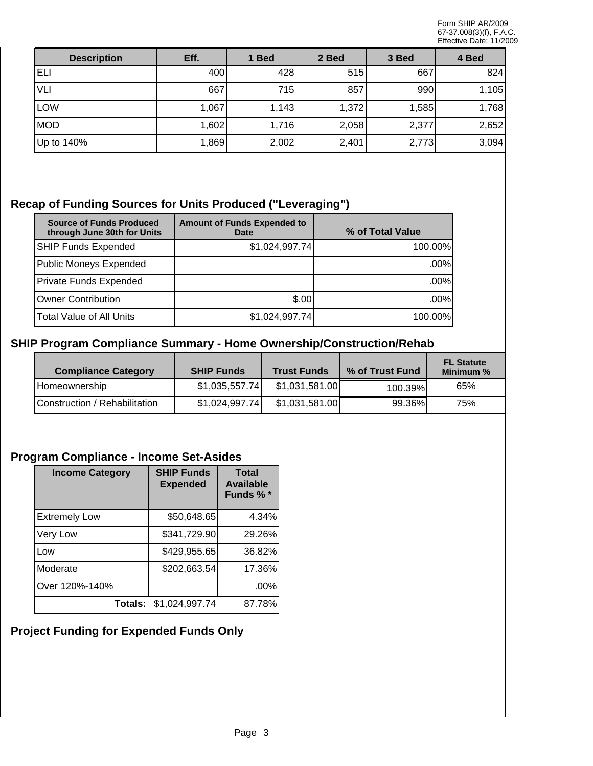| <b>Description</b> | Eff.  | 1 Bed | 2 Bed | 3 Bed | 4 Bed |
|--------------------|-------|-------|-------|-------|-------|
| ELI                | 400   | 428   | 515   | 667   | 824   |
| VLI                | 667   | 715   | 857   | 990   | 1,105 |
| <b>LOW</b>         | 1,067 | 1,143 | 1,372 | 1,585 | 1,768 |
| <b>MOD</b>         | 1,602 | 1,716 | 2,058 | 2,377 | 2,652 |
| Up to 140%         | 1,869 | 2,002 | 2,401 | 2,773 | 3,094 |

# **Recap of Funding Sources for Units Produced ("Leveraging")**

| <b>Source of Funds Produced</b><br>through June 30th for Units | <b>Amount of Funds Expended to</b><br>Date | % of Total Value |
|----------------------------------------------------------------|--------------------------------------------|------------------|
| <b>SHIP Funds Expended</b>                                     | \$1,024,997.74]                            | 100.00%          |
| Public Moneys Expended                                         |                                            | $.00\%$          |
| Private Funds Expended                                         |                                            | $.00\%$          |
| Owner Contribution                                             | \$.00                                      | .00%             |
| <b>Total Value of All Units</b>                                | \$1,024,997.74]                            | 100.00%          |

### **SHIP Program Compliance Summary - Home Ownership/Construction/Rehab**

| <b>Compliance Category</b>    | <b>SHIP Funds</b> | <b>Trust Funds</b> | % of Trust Fund | <b>FL Statute</b><br>Minimum % |
|-------------------------------|-------------------|--------------------|-----------------|--------------------------------|
| Homeownership                 | \$1,035,557.74    | \$1,031,581.00     | 100.39%         | 65%                            |
| Construction / Rehabilitation | \$1,024,997.74    | \$1,031,581.00     | 99.36%          | 75%                            |

# **Program Compliance - Income Set-Asides**

| <b>Income Category</b> | <b>SHIP Funds</b><br><b>Expended</b> | <b>Total</b><br><b>Available</b><br>Funds %* |
|------------------------|--------------------------------------|----------------------------------------------|
| <b>Extremely Low</b>   | \$50,648.65                          | 4.34%                                        |
| Very Low               | \$341,729.90                         | 29.26%                                       |
| Low                    | \$429,955.65                         | 36.82%                                       |
| Moderate               | \$202,663.54                         | 17.36%                                       |
| Over 120%-140%         |                                      | .00%                                         |
|                        | Totals: \$1,024,997.74               | 87.78%                                       |

# **Project Funding for Expended Funds Only**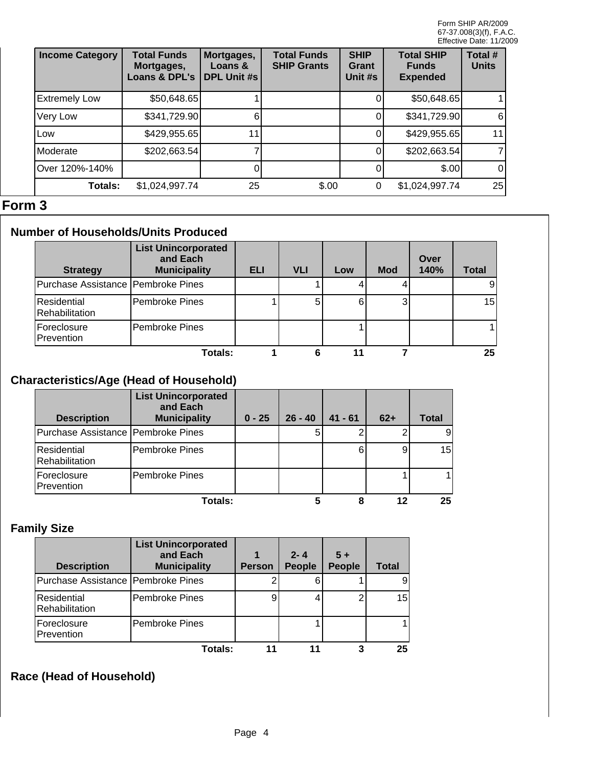| <b>Income Category</b> | <b>Total Funds</b><br>Mortgages,<br>Loans & DPL's | Mortgages,<br>Loans &<br><b>DPL Unit #s</b> | <b>Total Funds</b><br><b>SHIP Grants</b> | <b>SHIP</b><br>Grant<br>Unit #s | <b>Total SHIP</b><br><b>Funds</b><br><b>Expended</b> | Total #<br><b>Units</b> |
|------------------------|---------------------------------------------------|---------------------------------------------|------------------------------------------|---------------------------------|------------------------------------------------------|-------------------------|
| <b>Extremely Low</b>   | \$50,648.65                                       |                                             |                                          |                                 | \$50,648.65                                          |                         |
| Very Low               | \$341,729.90                                      |                                             |                                          |                                 | \$341,729.90                                         | 6I                      |
| Low                    | \$429,955.65                                      |                                             |                                          |                                 | \$429,955.65                                         | 11                      |
| Moderate               | \$202,663.54]                                     |                                             |                                          |                                 | \$202,663.54]                                        |                         |
| Over 120%-140%         |                                                   |                                             |                                          |                                 | \$.00                                                | $\overline{0}$          |
| <b>Totals:</b>         | \$1,024,997.74                                    | 25                                          | \$.00                                    | 0                               | \$1,024,997.74                                       | 25                      |

# **Form 3**

# **Number of Households/Units Produced**

| <b>Strategy</b>                      | <b>List Unincorporated</b><br>and Each<br><b>Municipality</b> | <b>ELI</b> | <b>VLI</b> | Low | <b>Mod</b> | Over<br>140% | <b>Total</b> |
|--------------------------------------|---------------------------------------------------------------|------------|------------|-----|------------|--------------|--------------|
| Purchase Assistance   Pembroke Pines |                                                               |            |            |     |            |              |              |
| Residential<br>Rehabilitation        | Pembroke Pines                                                |            | 5          | 6   | 3          |              | 15           |
| Foreclosure<br>Prevention            | <b>Pembroke Pines</b>                                         |            |            |     |            |              |              |
|                                      | Totals:                                                       |            |            |     |            |              | 25           |

# **Characteristics/Age (Head of Household)**

| <b>Description</b>                   | <b>List Unincorporated</b><br>and Each<br><b>Municipality</b> | $0 - 25$ | $26 - 40$ | $41 - 61$ | $62+$ | Total |
|--------------------------------------|---------------------------------------------------------------|----------|-----------|-----------|-------|-------|
| Purchase Assistance   Pembroke Pines |                                                               |          | 5         |           |       |       |
| Residential<br>Rehabilitation        | IPembroke Pines                                               |          |           | 6         | 9     | 15    |
| Foreclosure<br>Prevention            | Pembroke Pines                                                |          |           |           |       |       |
|                                      | Totals:                                                       |          |           | 8         | 12    | 25    |

# **Family Size**

| <b>Description</b>                   | <b>List Unincorporated</b><br>and Each<br><b>Municipality</b> | <b>Person</b> | $2 - 4$<br><b>People</b> | $5+$<br><b>People</b> | <b>Total</b> |
|--------------------------------------|---------------------------------------------------------------|---------------|--------------------------|-----------------------|--------------|
| Purchase Assistance   Pembroke Pines |                                                               |               |                          |                       | 9            |
| Residential<br>Rehabilitation        | Pembroke Pines                                                | 9             |                          |                       | 15           |
| Foreclosure<br>Prevention            | <b>Pembroke Pines</b>                                         |               |                          |                       |              |
|                                      | Totals:                                                       |               |                          |                       | 25           |

# **Race (Head of Household)**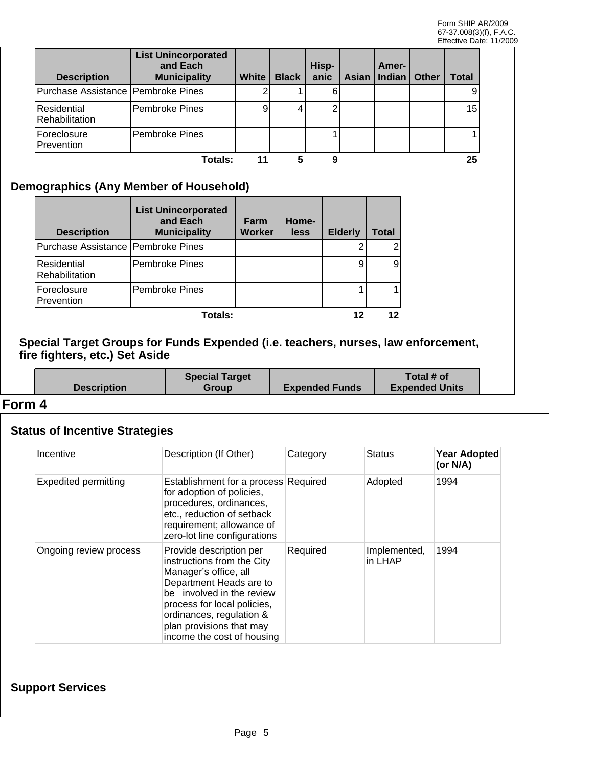| <b>Description</b>                   | <b>List Unincorporated</b><br>and Each<br><b>Municipality</b> | <b>White</b> | <b>Black</b> | Hisp-<br>anic | Amer-<br>Asian   Indian   Other | Total |
|--------------------------------------|---------------------------------------------------------------|--------------|--------------|---------------|---------------------------------|-------|
| Purchase Assistance   Pembroke Pines |                                                               |              |              |               |                                 | 9     |
| Residential<br>Rehabilitation        | Pembroke Pines                                                | 9            |              |               |                                 | 15    |
| <b>Foreclosure</b><br>Prevention     | Pembroke Pines                                                |              |              |               |                                 |       |
|                                      | Totals:                                                       |              |              |               |                                 | 25    |

#### **Demographics (Any Member of Household)**

| <b>Description</b>                   | <b>List Unincorporated</b><br>and Each<br><b>Municipality</b> | Farm<br><b>Worker</b> | Home-<br>less | <b>Elderly</b> | Total |
|--------------------------------------|---------------------------------------------------------------|-----------------------|---------------|----------------|-------|
| Purchase Assistance   Pembroke Pines |                                                               |                       |               |                |       |
| Residential<br>Rehabilitation        | <b>Pembroke Pines</b>                                         |                       |               | 9              |       |
| Foreclosure<br>Prevention            | Pembroke Pines                                                |                       |               |                |       |
|                                      | Totals:                                                       |                       |               |                |       |

#### **Special Target Groups for Funds Expended (i.e. teachers, nurses, law enforcement, fire fighters, etc.) Set Aside**

|                    | <b>Special Target</b> |                       | Total # of            |  |
|--------------------|-----------------------|-----------------------|-----------------------|--|
| <b>Description</b> | <b>Group</b>          | <b>Expended Funds</b> | <b>Expended Units</b> |  |
|                    |                       |                       |                       |  |

#### **Form 4**

#### **Status of Incentive Strategies**

| Incentive                   | Description (If Other)                                                                                                                                                                                                                                      | Category | <b>Status</b>           | <b>Year Adopted</b><br>(or $N/A$ ) |
|-----------------------------|-------------------------------------------------------------------------------------------------------------------------------------------------------------------------------------------------------------------------------------------------------------|----------|-------------------------|------------------------------------|
| <b>Expedited permitting</b> | Establishment for a process Required<br>for adoption of policies,<br>procedures, ordinances,<br>etc., reduction of setback<br>requirement; allowance of<br>zero-lot line configurations                                                                     |          | Adopted                 | 1994                               |
| Ongoing review process      | Provide description per<br>instructions from the City<br>Manager's office, all<br>Department Heads are to<br>be involved in the review<br>process for local policies,<br>ordinances, regulation &<br>plan provisions that may<br>income the cost of housing | Required | Implemented,<br>in LHAP | 1994                               |

#### **Support Services**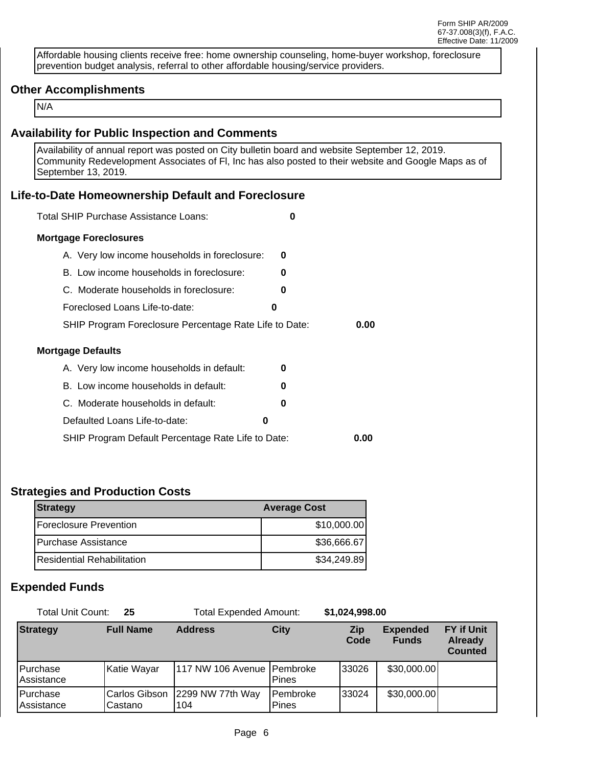Affordable housing clients receive free: home ownership counseling, home-buyer workshop, foreclosure prevention budget analysis, referral to other affordable housing/service providers.

#### **Other Accomplishments**

N/A

#### **Availability for Public Inspection and Comments**

Availability of annual report was posted on City bulletin board and website September 12, 2019. Community Redevelopment Associates of Fl, Inc has also posted to their website and Google Maps as of September 13, 2019.

#### **Life-to-Date Homeownership Default and Foreclosure**

| Total SHIP Purchase Assistance Loans:                  | 0 |      |
|--------------------------------------------------------|---|------|
| <b>Mortgage Foreclosures</b>                           |   |      |
| A. Very low income households in foreclosure:          | O |      |
| B. Low income households in foreclosure:               | 0 |      |
| C. Moderate households in foreclosure:                 | 0 |      |
| Foreclosed Loans Life-to-date:                         | 0 |      |
| SHIP Program Foreclosure Percentage Rate Life to Date: |   | 0.00 |
| Mortgage Defaults                                      |   |      |
| A. Very low income households in default:              | U |      |
| B. Low income households in default:                   | n |      |
| C. Moderate households in default:                     | 0 |      |
| Defaulted Loans Life-to-date:                          | 0 |      |
| SHIP Program Default Percentage Rate Life to Date:     |   | 0.00 |

#### **Strategies and Production Costs**

| Strategy                       | <b>Average Cost</b> |
|--------------------------------|---------------------|
| <b>IForeclosure Prevention</b> | \$10,000.00]        |
| IPurchase Assistance           | \$36,666.67         |
| lResidential Rehabilitation.   | \$34,249.89         |

#### **Expended Funds**

| Total Unit Count:<br>25  |                           | <b>Total Expended Amount:</b> |                            | \$1,024,998.00     |                                 |                                                       |
|--------------------------|---------------------------|-------------------------------|----------------------------|--------------------|---------------------------------|-------------------------------------------------------|
| <b>Strategy</b>          | <b>Full Name</b>          | <b>Address</b>                | <b>City</b>                | <b>Zip</b><br>Code | <b>Expended</b><br><b>Funds</b> | <b>FY if Unit</b><br><b>Already</b><br><b>Counted</b> |
| l Purchase<br>Assistance | Katie Wayar               | 1117 NW 106 Avenue   Pembroke | <b>Pines</b>               | 33026              | \$30,000.00]                    |                                                       |
| l Purchase<br>Assistance | Carlos Gibson<br>lCastano | 2299 NW 77th Way<br>104       | l Pembroke<br><b>Pines</b> | 133024             | \$30,000.00]                    |                                                       |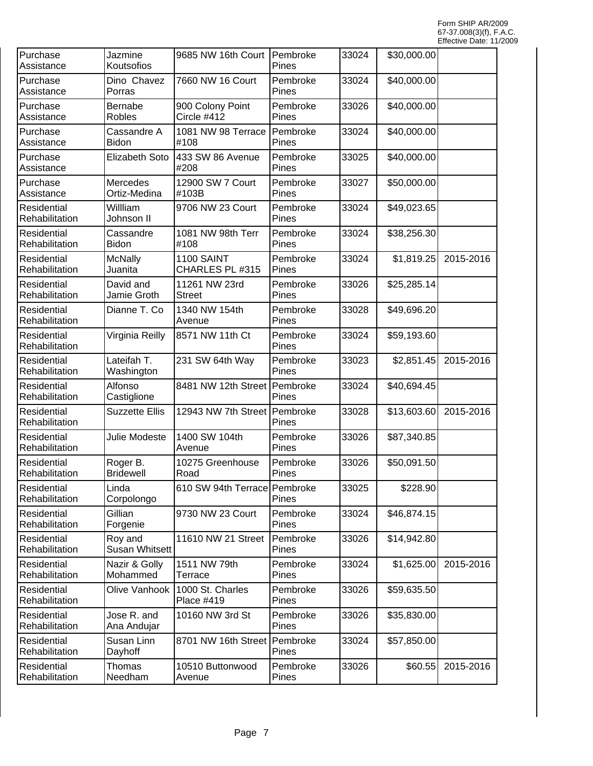| Purchase<br>Assistance               | Jazmine<br>Koutsofios            | 9685 NW 16th Court Pembroke          | Pines             | 33024 | \$30,000.00 |           |
|--------------------------------------|----------------------------------|--------------------------------------|-------------------|-------|-------------|-----------|
| Purchase<br>Assistance               | Dino Chavez<br>Porras            | 7660 NW 16 Court                     | Pembroke<br>Pines | 33024 | \$40,000.00 |           |
| Purchase<br>Assistance               | <b>Bernabe</b><br>Robles         | 900 Colony Point<br>Circle #412      | Pembroke<br>Pines | 33026 | \$40,000.00 |           |
| Purchase<br>Assistance               | Cassandre A<br>Bidon             | 1081 NW 98 Terrace<br>#108           | Pembroke<br>Pines | 33024 | \$40,000.00 |           |
| Purchase<br>Assistance               | Elizabeth Soto                   | 433 SW 86 Avenue<br>#208             | Pembroke<br>Pines | 33025 | \$40,000.00 |           |
| Purchase<br>Assistance               | Mercedes<br>Ortiz-Medina         | 12900 SW 7 Court<br>#103B            | Pembroke<br>Pines | 33027 | \$50,000.00 |           |
| Residential<br>Rehabilitation        | Willliam<br>Johnson II           | 9706 NW 23 Court                     | Pembroke<br>Pines | 33024 | \$49,023.65 |           |
| Residential<br>Rehabilitation        | Cassandre<br><b>Bidon</b>        | 1081 NW 98th Terr<br>#108            | Pembroke<br>Pines | 33024 | \$38,256.30 |           |
| Residential<br>Rehabilitation        | <b>McNally</b><br>Juanita        | <b>1100 SAINT</b><br>CHARLES PL #315 | Pembroke<br>Pines | 33024 | \$1,819.25  | 2015-2016 |
| Residential<br>Rehabilitation        | David and<br>Jamie Groth         | 11261 NW 23rd<br><b>Street</b>       | Pembroke<br>Pines | 33026 | \$25,285.14 |           |
| Residential<br>Rehabilitation        | Dianne T. Co                     | 1340 NW 154th<br>Avenue              | Pembroke<br>Pines | 33028 | \$49,696.20 |           |
| Residential<br>Rehabilitation        | Virginia Reilly                  | 8571 NW 11th Ct                      | Pembroke<br>Pines | 33024 | \$59,193.60 |           |
| Residential<br>Rehabilitation        | Lateifah T.<br>Washington        | 231 SW 64th Way                      | Pembroke<br>Pines | 33023 | \$2,851.45  | 2015-2016 |
| Residential<br>Rehabilitation        | Alfonso<br>Castiglione           | 8481 NW 12th Street                  | Pembroke<br>Pines | 33024 | \$40,694.45 |           |
| Residential<br>Rehabilitation        | <b>Suzzette Ellis</b>            | 12943 NW 7th Street Pembroke         | Pines             | 33028 | \$13,603.60 | 2015-2016 |
| Residential<br>Rehabilitation        | Julie Modeste                    | 1400 SW 104th<br>Avenue              | Pembroke<br>Pines | 33026 | \$87,340.85 |           |
| Residential<br>Rehabilitation        | Roger B.<br><b>Bridewell</b>     | 10275 Greenhouse<br>Road             | Pembroke<br>Pines | 33026 | \$50,091.50 |           |
| <b>Residential</b><br>Rehabilitation | Linda<br>Corpolongo              | 610 SW 94th Terrace Pembroke         | Pines             | 33025 | \$228.90    |           |
| Residential<br>Rehabilitation        | Gillian<br>Forgenie              | 9730 NW 23 Court                     | Pembroke<br>Pines | 33024 | \$46,874.15 |           |
| Residential<br>Rehabilitation        | Roy and<br><b>Susan Whitsett</b> | 11610 NW 21 Street                   | Pembroke<br>Pines | 33026 | \$14,942.80 |           |
| Residential<br>Rehabilitation        | Nazir & Golly<br>Mohammed        | 1511 NW 79th<br>Terrace              | Pembroke<br>Pines | 33024 | \$1,625.00  | 2015-2016 |
| Residential<br>Rehabilitation        | Olive Vanhook                    | 1000 St. Charles<br>Place #419       | Pembroke<br>Pines | 33026 | \$59,635.50 |           |
| Residential<br>Rehabilitation        | Jose R. and<br>Ana Andujar       | 10160 NW 3rd St                      | Pembroke<br>Pines | 33026 | \$35,830.00 |           |
| Residential<br>Rehabilitation        | Susan Linn<br>Dayhoff            | 8701 NW 16th Street                  | Pembroke<br>Pines | 33024 | \$57,850.00 |           |
| Residential<br>Rehabilitation        | Thomas<br>Needham                | 10510 Buttonwood<br>Avenue           | Pembroke<br>Pines | 33026 | \$60.55     | 2015-2016 |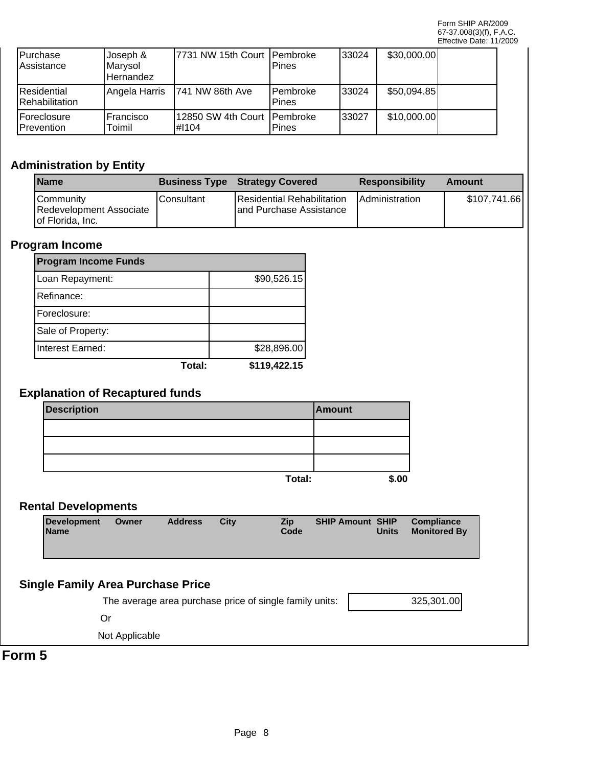| <b>IPurchase</b><br><b>IAssistance</b>        | Joseph &<br>Marysol<br>l Hernandez | 17731 NW 15th Court   Pembroke          | Pines                     | 133024 | \$30,000.00] |  |
|-----------------------------------------------|------------------------------------|-----------------------------------------|---------------------------|--------|--------------|--|
| <b>IResidential</b><br><b>IRehabilitation</b> | Angela Harris                      | 1741 NW 86th Ave                        | <b>IPembroke</b><br>Pines | 133024 | \$50,094.85  |  |
| <b>IForeclosure</b><br><b>IPrevention</b>     | IFrancisco<br>Toimil               | 12850 SW 4th Court   Pembroke<br>l#I104 | Pines                     | 133027 | \$10,000.00] |  |

# **Administration by Entity**

| <b>Name</b>                                                       |            | <b>Business Type Strategy Covered</b>                         | <b>Responsibility</b>  | Amount       |
|-------------------------------------------------------------------|------------|---------------------------------------------------------------|------------------------|--------------|
| <b>ICommunity</b><br>Redevelopment Associate<br>Jof Florida, Inc. | Consultant | Residential Rehabilitation<br><b>land Purchase Assistance</b> | <b>IAdministration</b> | \$107,741.66 |

#### **Program Income**

| <b>Program Income Funds</b> |        |              |  |  |  |  |
|-----------------------------|--------|--------------|--|--|--|--|
| Loan Repayment:             |        | \$90,526.15  |  |  |  |  |
| Refinance:                  |        |              |  |  |  |  |
| Foreclosure:                |        |              |  |  |  |  |
| Sale of Property:           |        |              |  |  |  |  |
| Interest Earned:            |        | \$28,896.00  |  |  |  |  |
|                             | Total: | \$119,422.15 |  |  |  |  |

## **Explanation of Recaptured funds**

| <b>Description</b> |        | Amount |
|--------------------|--------|--------|
|                    |        |        |
|                    |        |        |
|                    |        |        |
|                    | Total: | \$.00  |

### **Rental Developments**

| <b>Development</b><br><b>Name</b>        | Owner | <b>Address</b> | City | <b>Zip</b><br>Code                                      | <b>SHIP Amount SHIP</b> | <b>Units</b> | <b>Compliance</b><br><b>Monitored By</b> |
|------------------------------------------|-------|----------------|------|---------------------------------------------------------|-------------------------|--------------|------------------------------------------|
| <b>Single Family Area Purchase Price</b> |       |                |      |                                                         |                         |              |                                          |
|                                          |       |                |      |                                                         |                         |              |                                          |
|                                          |       |                |      | The average area purchase price of single family units: |                         |              | 325,301.00                               |

Or

Not Applicable

**Form 5**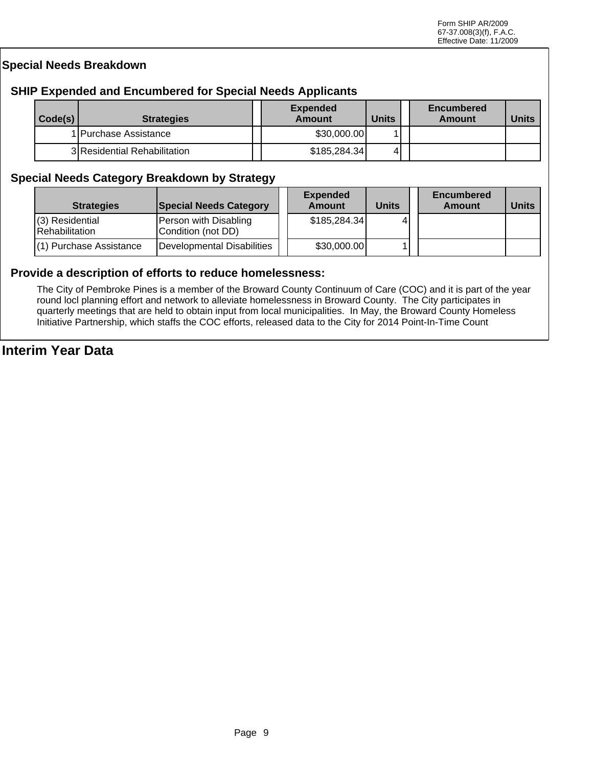#### **Special Needs Breakdown**

#### **SHIP Expended and Encumbered for Special Needs Applicants**

| Code(s) | <b>Strategies</b>            | <b>Expended</b><br>Amount | <b>Units</b> | <b>Encumbered</b><br>Amount | <b>Units</b> |
|---------|------------------------------|---------------------------|--------------|-----------------------------|--------------|
|         | 1 Purchase Assistance        | \$30,000.00               |              |                             |              |
|         | 3 Residential Rehabilitation | \$185,284.34]             | 4'           |                             |              |

#### **Special Needs Category Breakdown by Strategy**

| <b>Strategies</b>                           | <b>Special Needs Category</b>               | <b>Expended</b><br><b>Amount</b> | <b>Units</b> | <b>Encumbered</b><br>Amount | <b>Units</b> |
|---------------------------------------------|---------------------------------------------|----------------------------------|--------------|-----------------------------|--------------|
| $(3)$ Residential<br><b>IRehabilitation</b> | Person with Disabling<br>Condition (not DD) | \$185,284.34]                    |              |                             |              |
| (1) Purchase Assistance                     | Developmental Disabilities                  | \$30,000.00]                     |              |                             |              |

#### **Provide a description of efforts to reduce homelessness:**

The City of Pembroke Pines is a member of the Broward County Continuum of Care (COC) and it is part of the year round locl planning effort and network to alleviate homelessness in Broward County. The City participates in quarterly meetings that are held to obtain input from local municipalities. In May, the Broward County Homeless Initiative Partnership, which staffs the COC efforts, released data to the City for 2014 Point-In-Time Count

# **Interim Year Data**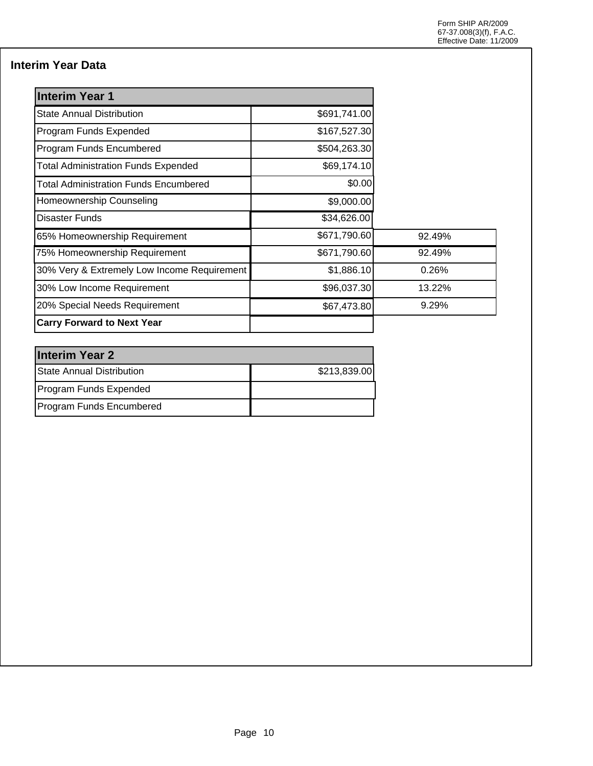### **Interim Year Data**

| <b>Interim Year 1</b>                       |              |        |
|---------------------------------------------|--------------|--------|
| <b>State Annual Distribution</b>            | \$691,741.00 |        |
| Program Funds Expended                      | \$167,527.30 |        |
| Program Funds Encumbered                    | \$504,263.30 |        |
| <b>Total Administration Funds Expended</b>  | \$69,174.10  |        |
| Total Administration Funds Encumbered       | \$0.00       |        |
| Homeownership Counseling                    | \$9,000.00   |        |
| <b>Disaster Funds</b>                       | \$34,626.00  |        |
| 65% Homeownership Requirement               | \$671,790.60 | 92.49% |
| 75% Homeownership Requirement               | \$671,790.60 | 92.49% |
| 30% Very & Extremely Low Income Requirement | \$1,886.10   | 0.26%  |
| 30% Low Income Requirement                  | \$96,037.30  | 13.22% |
| 20% Special Needs Requirement               | \$67,473.80  | 9.29%  |
| <b>Carry Forward to Next Year</b>           |              |        |

| <b>Interim Year 2</b>            |              |  |  |  |  |
|----------------------------------|--------------|--|--|--|--|
| <b>State Annual Distribution</b> | \$213,839.00 |  |  |  |  |
| Program Funds Expended           |              |  |  |  |  |
| Program Funds Encumbered         |              |  |  |  |  |